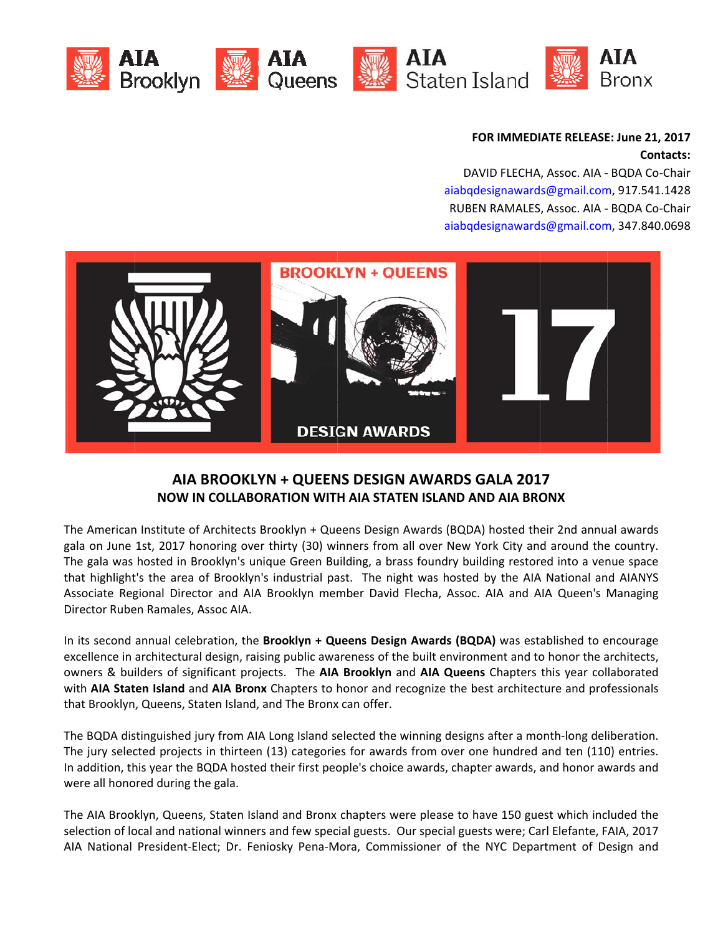







## FOR IMMEDIATE RELEASE: June 21, 2017 **Contacts:**

DAVID FLECHA, Assoc. AIA - BQDA Co-Chair aiabqdesignawards@gmail.com, 917.541.1428 RUBEN RAMALES, Assoc. AIA - BQDA Co-Chair aiabqdesignawards@gmail.com, 347.840.0698



## AIA BROOKLYN + QUEENS DESIGN AWARDS GALA 2017 **NOW IN COLLABORATION WITH AIA STATEN ISLAND AND AIA BRONX**

The American Institute of Architects Brooklyn + Queens Design Awards (BQDA) hosted their 2nd annual awards gala on June 1st, 2017 honoring over thirty (30) winners from all over New York City and around the country. The gala was hosted in Brooklyn's unique Green Building, a brass foundry building restored into a venue space that highlight's the area of Brooklyn's industrial past. The night was hosted by the AIA National and AIANYS Associate Regional Director and AIA Brooklyn member David Flecha, Assoc. AIA and AIA Queen's Managing Director Ruben Ramales, Assoc AIA.

In its second annual celebration, the Brooklyn + Queens Design Awards (BQDA) was established to encourage excellence in architectural design, raising public awareness of the built environment and to honor the architects, owners & builders of significant projects. The AIA Brooklyn and AIA Queens Chapters this year collaborated with AIA Staten Island and AIA Bronx Chapters to honor and recognize the best architecture and professionals that Brooklyn, Queens, Staten Island, and The Bronx can offer.

The BQDA distinguished jury from AIA Long Island selected the winning designs after a month-long deliberation. The jury selected projects in thirteen (13) categories for awards from over one hundred and ten (110) entries. In addition, this year the BQDA hosted their first people's choice awards, chapter awards, and honor awards and were all honored during the gala.

The AIA Brooklyn, Queens, Staten Island and Bronx chapters were please to have 150 guest which included the selection of local and national winners and few special guests. Our special guests were; Carl Elefante, FAIA, 2017 AIA National President-Elect; Dr. Feniosky Pena-Mora, Commissioner of the NYC Department of Design and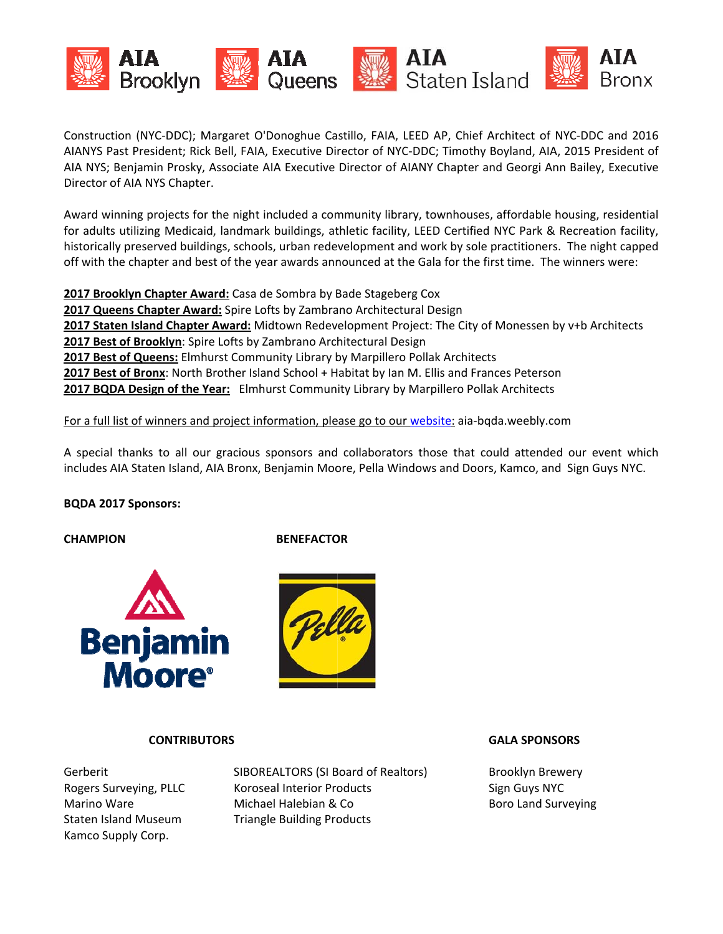

Construction (NYC-DDC); Margaret O'Donoghue Castillo, FAIA, LEED AP, Chief Architect of NYC-DDC and 2016 AIANYS Past President; Rick Bell, FAIA, Executive Director of NYC-DDC; Timothy Boyland, AIA, 2015 President of AIA NYS; Benjamin Prosky, Associate AIA Executive Director of AIANY Chapter and Georgi Ann Bailey, Executive Director of AIA NYS Chapter.

Award winning projects for the night included a community library, townhouses, affordable housing, residential for adults utilizing Medicaid, landmark buildings, athletic facility, LEED Certified NYC Park & Recreation facility, historically preserved buildings, schools, urban redevelopment and work by sole practitioners. The night capped off with the chapter and best of the year awards announced at the Gala for the first time. The winners were:

2017 Brooklyn Chapter Award: Casa de Sombra by Bade Stageberg Cox 2017 Queens Chapter Award: Spire Lofts by Zambrano Architectural Design 2017 Staten Island Chapter Award: Midtown Redevelopment Project: The City of Monessen by v+b Architects 2017 Best of Brooklyn: Spire Lofts by Zambrano Architectural Design 2017 Best of Queens: Elmhurst Community Library by Marpillero Pollak Architects 2017 Best of Bronx: North Brother Island School + Habitat by Ian M. Ellis and Frances Peterson 2017 BQDA Design of the Year: Elmhurst Community Library by Marpillero Pollak Architects

### For a full list of winners and project information, please go to our website: aia-bqda.weebly.com

A special thanks to all our gracious sponsors and collaborators those that could attended our event which includes AIA Staten Island, AIA Bronx, Benjamin Moore, Pella Windows and Doors, Kamco, and Sign Guys NYC.

### **BQDA 2017 Sponsors:**

**CHAMPION** 

### **BENEFACTOR**





### **CONTRIBUTORS**

Gerberit Rogers Surveying, PLLC Marino Ware **Staten Island Museum** Kamco Supply Corp.

SIBOREALTORS (SI Board of Realtors) Koroseal Interior Products Michael Halebian & Co. **Triangle Building Products** 

#### **GALA SPONSORS**

**Brooklyn Brewery** Sign Guys NYC **Boro Land Surveying**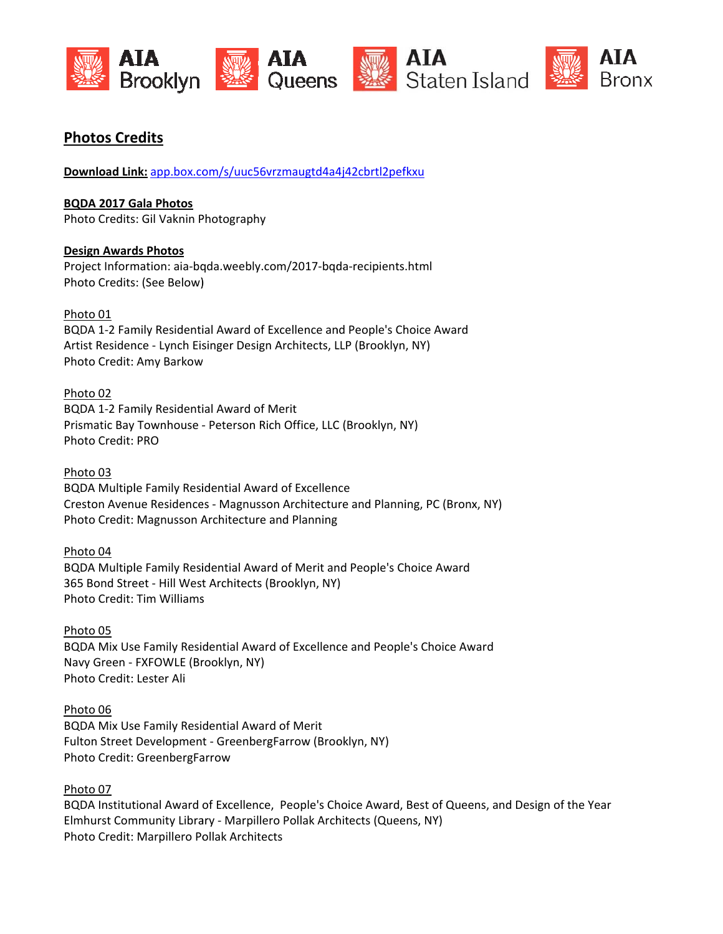





# **Photos Credits**

Download Link: app.box.com/s/uuc56vrzmaugtd4a4j42cbrtl2pefkxu

**BQDA 2017 Gala Photos** Photo Credits: Gil Vaknin Photography

## **Design Awards Photos**

Project Information: aia-bqda.weebly.com/2017-bqda-recipients.html Photo Credits: (See Below)

Photo 01

BQDA 1-2 Family Residential Award of Excellence and People's Choice Award Artist Residence - Lynch Eisinger Design Architects, LLP (Brooklyn, NY) Photo Credit: Amy Barkow

## Photo 02

BQDA 1-2 Family Residential Award of Merit Prismatic Bay Townhouse - Peterson Rich Office, LLC (Brooklyn, NY) **Photo Credit: PRO** 

### Photo 03

**BQDA Multiple Family Residential Award of Excellence** Creston Avenue Residences - Magnusson Architecture and Planning, PC (Bronx, NY) Photo Credit: Magnusson Architecture and Planning

### Photo 04

BQDA Multiple Family Residential Award of Merit and People's Choice Award 365 Bond Street - Hill West Architects (Brooklyn, NY) **Photo Credit: Tim Williams** 

Photo 05 BQDA Mix Use Family Residential Award of Excellence and People's Choice Award Navy Green - FXFOWLE (Brooklyn, NY) Photo Credit: Lester Ali

### Photo 06

BQDA Mix Use Family Residential Award of Merit Fulton Street Development - GreenbergFarrow (Brooklyn, NY) Photo Credit: GreenbergFarrow

## Photo 07

BQDA Institutional Award of Excellence, People's Choice Award, Best of Queens, and Design of the Year Elmhurst Community Library - Marpillero Pollak Architects (Queens, NY) Photo Credit: Marpillero Pollak Architects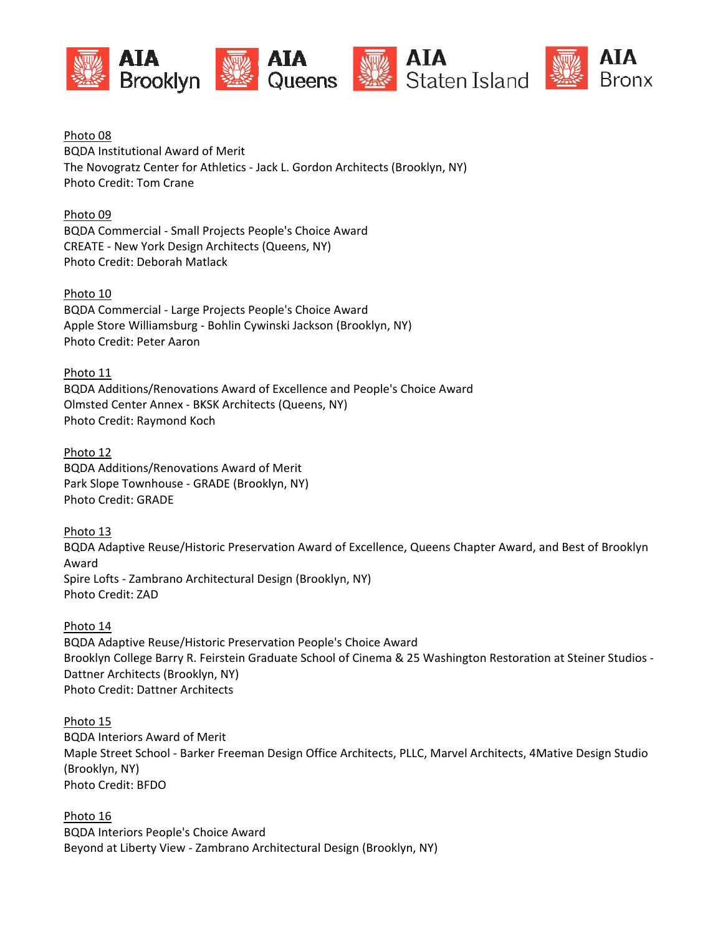





Photo 08 **BQDA Institutional Award of Merit** The Novogratz Center for Athletics - Jack L. Gordon Architects (Brooklyn, NY) **Photo Credit: Tom Crane** 

Photo 09 **BQDA Commercial - Small Projects People's Choice Award** CREATE - New York Design Architects (Queens, NY) Photo Credit: Deborah Matlack

Photo 10 BQDA Commercial - Large Projects People's Choice Award Apple Store Williamsburg - Bohlin Cywinski Jackson (Brooklyn, NY) Photo Credit: Peter Aaron

Photo 11 BQDA Additions/Renovations Award of Excellence and People's Choice Award Olmsted Center Annex - BKSK Architects (Queens, NY) Photo Credit: Raymond Koch

Photo 12 **BQDA Additions/Renovations Award of Merit** Park Slope Townhouse - GRADE (Brooklyn, NY) Photo Credit: GRADE

Photo 13 BQDA Adaptive Reuse/Historic Preservation Award of Excellence, Queens Chapter Award, and Best of Brooklyn Award Spire Lofts - Zambrano Architectural Design (Brooklyn, NY) Photo Credit: ZAD

Photo 14 BQDA Adaptive Reuse/Historic Preservation People's Choice Award Brooklyn College Barry R. Feirstein Graduate School of Cinema & 25 Washington Restoration at Steiner Studios -Dattner Architects (Brooklyn, NY) **Photo Credit: Dattner Architects** 

Photo 15 **BQDA Interiors Award of Merit** Maple Street School - Barker Freeman Design Office Architects, PLLC, Marvel Architects, 4Mative Design Studio (Brooklyn, NY) Photo Credit: BFDO

Photo 16 **BQDA Interiors People's Choice Award** Beyond at Liberty View - Zambrano Architectural Design (Brooklyn, NY)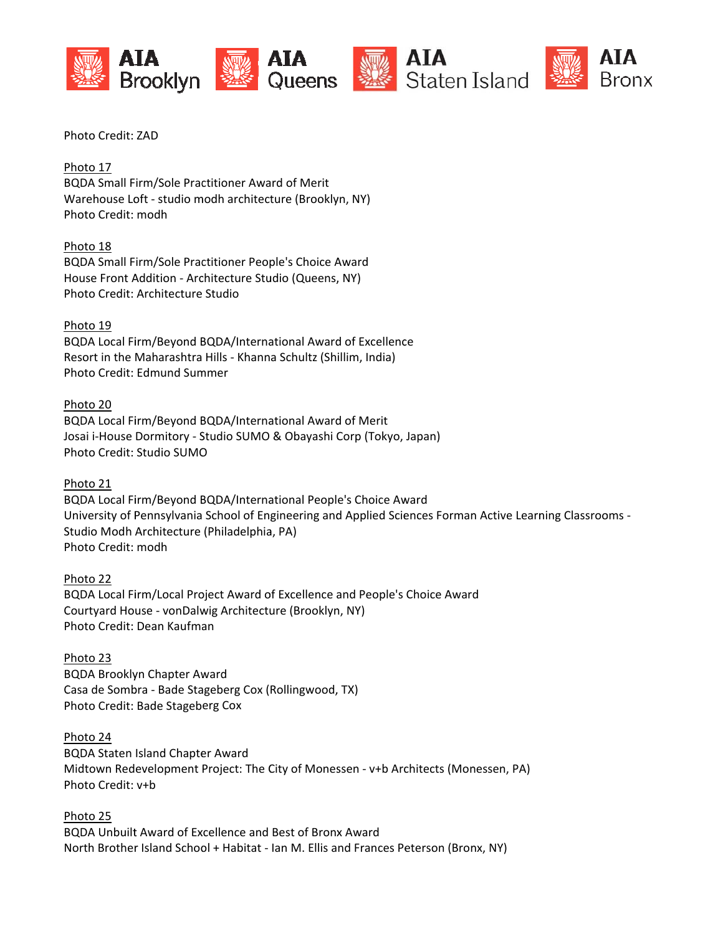

AIA **Bronx** 

Photo Credit: ZAD

Photo 17 **BQDA Small Firm/Sole Practitioner Award of Merit** Warehouse Loft - studio modh architecture (Brooklyn, NY) Photo Credit: modh

Photo 18 BQDA Small Firm/Sole Practitioner People's Choice Award House Front Addition - Architecture Studio (Queens, NY) Photo Credit: Architecture Studio

Photo 19 BQDA Local Firm/Beyond BQDA/International Award of Excellence Resort in the Maharashtra Hills - Khanna Schultz (Shillim, India) Photo Credit: Edmund Summer

Photo 20 BQDA Local Firm/Beyond BQDA/International Award of Merit Josai i-House Dormitory - Studio SUMO & Obayashi Corp (Tokyo, Japan) Photo Credit: Studio SUMO

Photo 21 BQDA Local Firm/Beyond BQDA/International People's Choice Award University of Pennsylvania School of Engineering and Applied Sciences Forman Active Learning Classrooms -Studio Modh Architecture (Philadelphia, PA) Photo Credit: modh

Photo 22 BQDA Local Firm/Local Project Award of Excellence and People's Choice Award Courtyard House - vonDalwig Architecture (Brooklyn, NY) Photo Credit: Dean Kaufman

Photo 23 **BQDA Brooklyn Chapter Award** Casa de Sombra - Bade Stageberg Cox (Rollingwood, TX) Photo Credit: Bade Stageberg Cox

Photo 24 **BQDA Staten Island Chapter Award** Midtown Redevelopment Project: The City of Monessen - v+b Architects (Monessen, PA) Photo Credit: v+b

Photo 25 BQDA Unbuilt Award of Excellence and Best of Bronx Award North Brother Island School + Habitat - Ian M. Ellis and Frances Peterson (Bronx, NY)